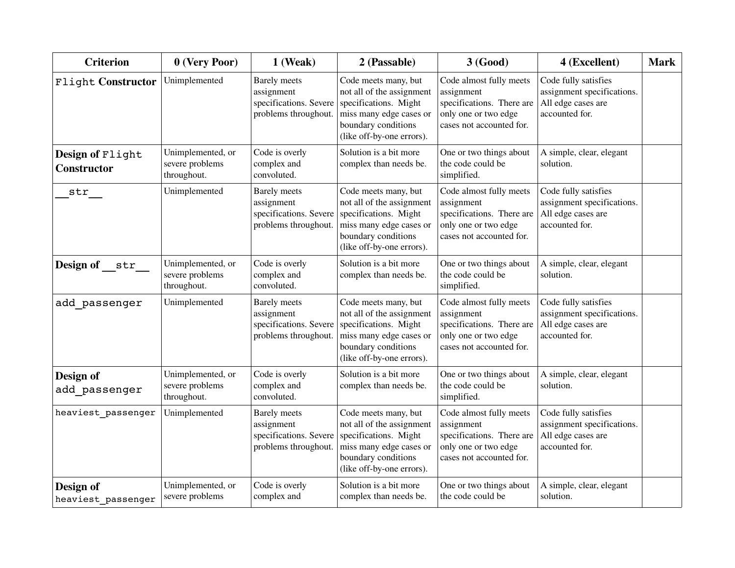| <b>Criterion</b>                       | 0 (Very Poor)                                       | 1 (Weak)                                                                            | 2 (Passable)                                                                                                                                              | 3 (Good)                                                                                                               | 4 (Excellent)                                                                              | <b>Mark</b> |
|----------------------------------------|-----------------------------------------------------|-------------------------------------------------------------------------------------|-----------------------------------------------------------------------------------------------------------------------------------------------------------|------------------------------------------------------------------------------------------------------------------------|--------------------------------------------------------------------------------------------|-------------|
| Flight Constructor                     | Unimplemented                                       | <b>Barely</b> meets<br>assignment<br>specifications. Severe<br>problems throughout. | Code meets many, but<br>not all of the assignment<br>specifications. Might<br>miss many edge cases or<br>boundary conditions<br>(like off-by-one errors). | Code almost fully meets<br>assignment<br>specifications. There are<br>only one or two edge<br>cases not accounted for. | Code fully satisfies<br>assignment specifications.<br>All edge cases are<br>accounted for. |             |
| Design of Flight<br><b>Constructor</b> | Unimplemented, or<br>severe problems<br>throughout. | Code is overly<br>complex and<br>convoluted.                                        | Solution is a bit more<br>complex than needs be.                                                                                                          | One or two things about<br>the code could be<br>simplified.                                                            | A simple, clear, elegant<br>solution.                                                      |             |
| str                                    | Unimplemented                                       | <b>Barely</b> meets<br>assignment<br>specifications. Severe<br>problems throughout. | Code meets many, but<br>not all of the assignment<br>specifications. Might<br>miss many edge cases or<br>boundary conditions<br>(like off-by-one errors). | Code almost fully meets<br>assignment<br>specifications. There are<br>only one or two edge<br>cases not accounted for. | Code fully satisfies<br>assignment specifications.<br>All edge cases are<br>accounted for. |             |
| Design of str                          | Unimplemented, or<br>severe problems<br>throughout. | Code is overly<br>complex and<br>convoluted.                                        | Solution is a bit more<br>complex than needs be.                                                                                                          | One or two things about<br>the code could be<br>simplified.                                                            | A simple, clear, elegant<br>solution.                                                      |             |
| add passenger                          | Unimplemented                                       | <b>Barely</b> meets<br>assignment<br>specifications. Severe<br>problems throughout. | Code meets many, but<br>not all of the assignment<br>specifications. Might<br>miss many edge cases or<br>boundary conditions<br>(like off-by-one errors). | Code almost fully meets<br>assignment<br>specifications. There are<br>only one or two edge<br>cases not accounted for. | Code fully satisfies<br>assignment specifications.<br>All edge cases are<br>accounted for. |             |
| Design of<br>add passenger             | Unimplemented, or<br>severe problems<br>throughout. | Code is overly<br>complex and<br>convoluted.                                        | Solution is a bit more<br>complex than needs be.                                                                                                          | One or two things about<br>the code could be<br>simplified.                                                            | A simple, clear, elegant<br>solution.                                                      |             |
| heaviest passenger                     | Unimplemented                                       | <b>Barely</b> meets<br>assignment<br>specifications. Severe<br>problems throughout. | Code meets many, but<br>not all of the assignment<br>specifications. Might<br>miss many edge cases or<br>boundary conditions<br>(like off-by-one errors). | Code almost fully meets<br>assignment<br>specifications. There are<br>only one or two edge<br>cases not accounted for. | Code fully satisfies<br>assignment specifications.<br>All edge cases are<br>accounted for. |             |
| Design of<br>heaviest passenger        | Unimplemented, or<br>severe problems                | Code is overly<br>complex and                                                       | Solution is a bit more<br>complex than needs be.                                                                                                          | One or two things about<br>the code could be                                                                           | A simple, clear, elegant<br>solution.                                                      |             |